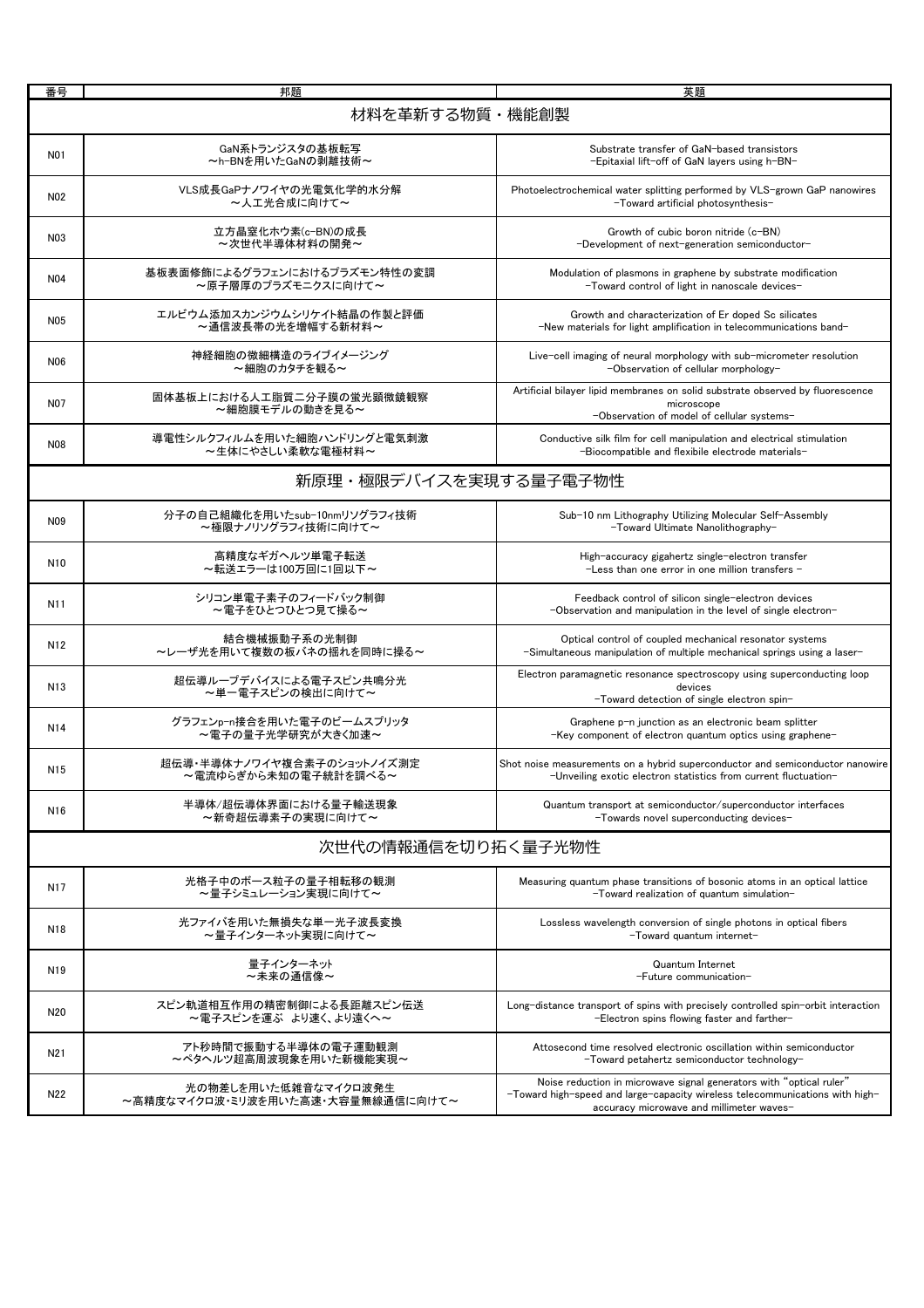| 番号                 | 邦題                                                        | 英題                                                                                                                                                                                              |  |
|--------------------|-----------------------------------------------------------|-------------------------------------------------------------------------------------------------------------------------------------------------------------------------------------------------|--|
|                    | 材料を革新する物質・機能創製                                            |                                                                                                                                                                                                 |  |
| N01                | GaN系トランジスタの基板転写<br>~h-BNを用いたGaNの剥離技術~                     | Substrate transfer of GaN-based transistors<br>-Epitaxial lift-off of GaN lavers using h-BN-                                                                                                    |  |
| N <sub>02</sub>    | VLS成長GaPナノワイヤの光電気化学的水分解<br>~人工光合成に向けて~                    | Photoelectrochemical water splitting performed by VLS-grown GaP nanowires<br>-Toward artificial photosynthesis-                                                                                 |  |
| N03                | 立方晶窒化ホウ素(c-BN)の成長<br>~次世代半導体材料の開発~                        | Growth of cubic boron nitride (c-BN)<br>-Development of next-generation semiconductor-                                                                                                          |  |
| N04                | 基板表面修飾によるグラフェンにおけるプラズモン特性の変調<br>~原子層厚のプラズモニクスに向けて~        | Modulation of plasmons in graphene by substrate modification<br>-Toward control of light in nanoscale devices-                                                                                  |  |
| N05                | エルビウム添加スカンジウムシリケイト結晶の作製と評価<br>~通信波長帯の光を増幅する新材料~           | Growth and characterization of Er doped Sc silicates<br>-New materials for light amplification in telecommunications band-                                                                      |  |
| N06                | 神経細胞の微細構造のライブイメージング<br>~細胞のカタチを観る~                        | Live-cell imaging of neural morphology with sub-micrometer resolution<br>-Observation of cellular morphology-                                                                                   |  |
| N07                | 固体基板上における人工脂質二分子膜の蛍光顕微鏡観察<br>~細胞膜モデルの動きを見る~               | Artificial bilayer lipid membranes on solid substrate observed by fluorescence<br>microscope<br>-Observation of model of cellular systems-                                                      |  |
| <b>N08</b>         | 導電性シルクフィルムを用いた細胞ハンドリングと電気刺激<br>~生体にやさしい柔軟な電極材料~           | Conductive silk film for cell manipulation and electrical stimulation<br>-Biocompatible and flexibile electrode materials-                                                                      |  |
|                    | 新原理・極限デバイスを実現する量子電子物性                                     |                                                                                                                                                                                                 |  |
| N09                | 分子の自己組織化を用いたsub-10nmリソグラフィ技術<br>~極限ナノリソグラフィ技術に向けて~        | Sub-10 nm Lithography Utilizing Molecular Self-Assembly<br>-Toward Ultimate Nanolithography-                                                                                                    |  |
| N <sub>10</sub>    | 高精度なギガヘルツ単電子転送<br>~転送エラーは100万回に1回以下~                      | High-accuracy gigahertz single-electron transfer<br>$-$ Less than one error in one million transfers $-$                                                                                        |  |
| N11                | シリコン単電子素子のフィードバック制御<br>~電子をひとつひとつ見て操る~                    | Feedback control of silicon single-electron devices<br>-Observation and manipulation in the level of single electron-                                                                           |  |
| N <sub>12</sub>    | 結合機械振動子系の光制御<br>~レーザ光を用いて複数の板バネの揺れを同時に操る~                 | Optical control of coupled mechanical resonator systems<br>-Simultaneous manipulation of multiple mechanical springs using a laser-                                                             |  |
| N <sub>13</sub>    | 超伝導ループデバイスによる電子スピン共鳴分光<br>~単一電子スピンの検出に向けて~                | Electron paramagnetic resonance spectroscopy using superconducting loop<br>devices<br>-Toward detection of single electron spin-                                                                |  |
| N14                | グラフェンp-n接合を用いた電子のビームスプリッタ<br>~電子の量子光学研究が大きく加速~            | Graphene p-n junction as an electronic beam splitter<br>-Key component of electron quantum optics using graphene-                                                                               |  |
| N <sub>15</sub>    | 超伝導・半導体ナノワイヤ複合素子のショットノイズ測定<br>~電流ゆらぎから未知の電子統計を調べる~        | Shot noise measurements on a hybrid superconductor and semiconductor nanowire<br>-Unveiling exotic electron statistics from current fluctuation-                                                |  |
| N <sub>16</sub>    | 半導体/超伝導体界面における量子輸送現象<br>~新奇超伝導素子の実現に向けて~                  | Quantum transport at semiconductor/superconductor interfaces<br>-Towards novel superconducting devices-                                                                                         |  |
| 次世代の情報通信を切り拓く量子光物性 |                                                           |                                                                                                                                                                                                 |  |
| N17                | 光格子中のボース粒子の量子相転移の観測<br>~暈子シミュレーション実現に向けて~                 | Measuring quantum phase transitions of bosonic atoms in an optical lattice<br>-Toward realization of quantum simulation-                                                                        |  |
| N <sub>18</sub>    | 光ファイバを用いた無損失な単一光子波長変換<br>~暈子インターネット実現に向けて~                | Lossless wavelength conversion of single photons in optical fibers<br>-Toward quantum internet-                                                                                                 |  |
| N <sub>19</sub>    | 量子インターネット<br>~未来の通信像~                                     | <b>Quantum Internet</b><br>-Future communication-                                                                                                                                               |  |
| N <sub>20</sub>    | スピン軌道相互作用の精密制御による長距離スピン伝送<br>~電子スピンを運ぶ より速く、より遠くへ~        | Long-distance transport of spins with precisely controlled spin-orbit interaction<br>-Electron spins flowing faster and farther-                                                                |  |
| N21                | アト秒時間で振動する半導体の電子運動観測<br>~ペタヘルツ超高周波現象を用いた新機能実現~            | Attosecond time resolved electronic oscillation within semiconductor<br>-Toward petahertz semiconductor technology-                                                                             |  |
| N22                | 光の物差しを用いた低雑音なマイクロ波発生<br>~高精度なマイクロ波・ミリ波を用いた高速・大容量無線通信に向けて~ | Noise reduction in microwave signal generators with "optical ruler"<br>-Toward high-speed and large-capacity wireless telecommunications with high-<br>accuracy microwave and millimeter waves- |  |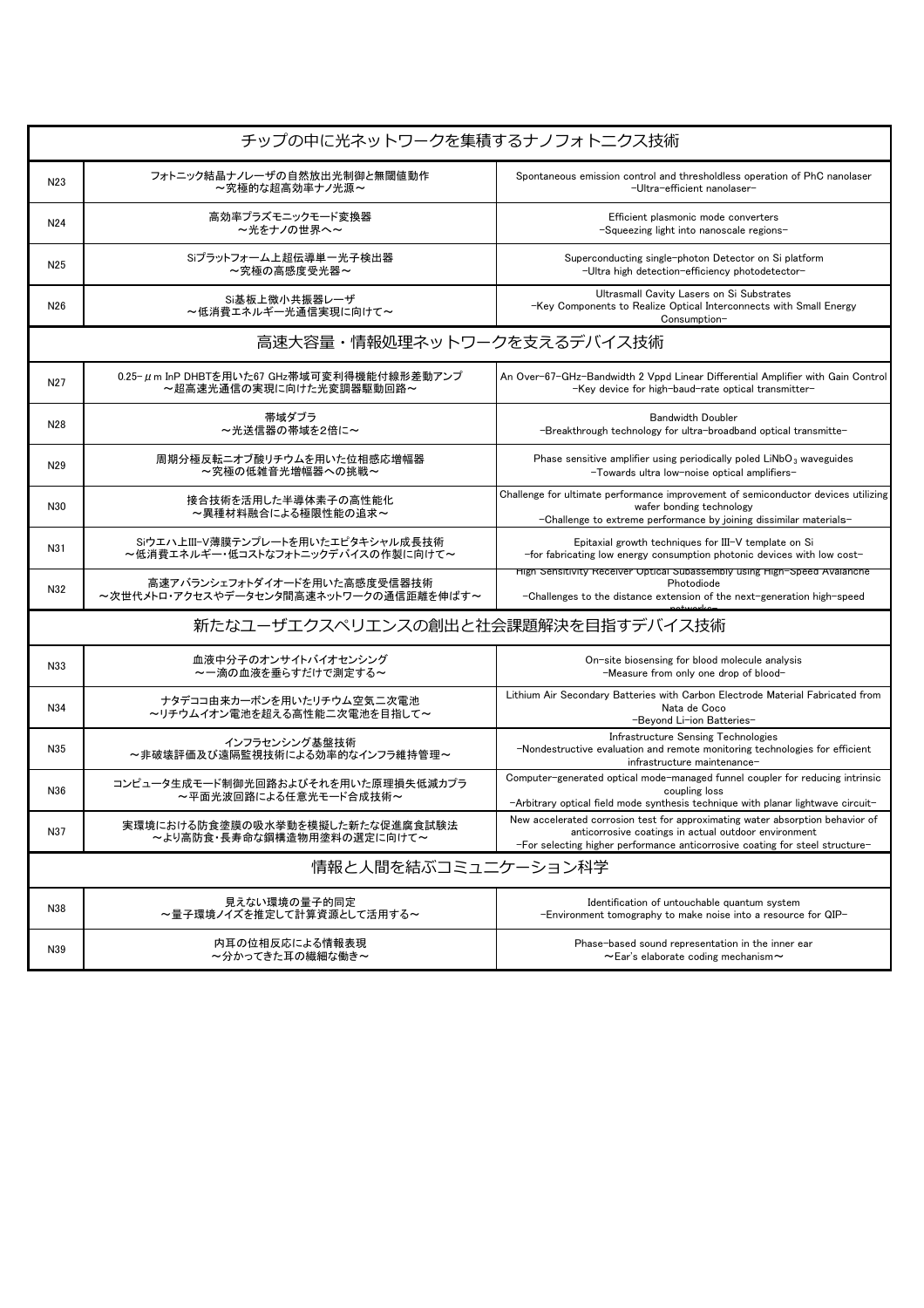| チップの中に光ネットワークを集積するナノフォトニクス技術       |                                                                         |                                                                                                                                                                                                                       |  |  |
|------------------------------------|-------------------------------------------------------------------------|-----------------------------------------------------------------------------------------------------------------------------------------------------------------------------------------------------------------------|--|--|
| N23                                | フォトニック結晶ナノレーザの自然放出光制御と無閾値動作<br>~究極的な超高効率ナノ光源~                           | Spontaneous emission control and thresholdless operation of PhC nanolaser<br>-Ultra-efficient nanolaser-                                                                                                              |  |  |
| N <sub>24</sub>                    | 高効率プラズモニックモード変換器<br>~光をナノの世界へ~                                          | Efficient plasmonic mode converters<br>-Squeezing light into nanoscale regions-                                                                                                                                       |  |  |
| N25                                | Siプラットフォーム上超伝導単一光子検出器<br>~究極の高感度受光器~                                    | Superconducting single-photon Detector on Si platform<br>-Ultra high detection-efficiency photodetector-                                                                                                              |  |  |
| N26                                | Si基板上微小共振器レーザ<br>~低消費エネルギー光通信実現に向けて~                                    | Ultrasmall Cavity Lasers on Si Substrates<br>-Key Components to Realize Optical Interconnects with Small Energy<br>Consumption-                                                                                       |  |  |
| 高速大容量・情報処理ネットワークを支えるデバイス技術         |                                                                         |                                                                                                                                                                                                                       |  |  |
| N <sub>27</sub>                    | 0.25-μm InP DHBTを用いた67 GHz帯域可変利得機能付線形差動アンプ<br>~超高速光通信の実現に向けた光変調器駆動回路~   | An Over-67-GHz-Bandwidth 2 Vppd Linear Differential Amplifier with Gain Control<br>-Key device for high-baud-rate optical transmitter-                                                                                |  |  |
| N28                                | 帯域ダブラ<br>~光送信器の帯域を2倍に~                                                  | <b>Bandwidth Doubler</b><br>-Breakthrough technology for ultra-broadband optical transmitte-                                                                                                                          |  |  |
| N <sub>29</sub>                    | 周期分極反転ニオブ酸リチウムを用いた位相感応増幅器<br>~究極の低雑音光増幅器への挑戦~                           | Phase sensitive amplifier using periodically poled $LiNbO3$ waveguides<br>-Towards ultra low-noise optical amplifiers-                                                                                                |  |  |
| N30                                | 接合技術を活用した半導体素子の高性能化<br>~異種材料融合による極限性能の追求~                               | Challenge for ultimate performance improvement of semiconductor devices utilizing<br>wafer bonding technology<br>-Challenge to extreme performance by joining dissimilar materials-                                   |  |  |
| N31                                | Siウエハ上III-V薄膜テンプレートを用いたエピタキシャル成長技術<br>~低消費エネルギー・低コストなフォトニックデバイスの作製に向けて~ | Epitaxial growth techniques for III-V template on Si<br>-for fabricating low energy consumption photonic devices with low cost-                                                                                       |  |  |
| N32                                | 高速アバランシェフォトダイオードを用いた高感度受信器技術<br>~次世代メトロ・アクセスやデータセンタ間高速ネットワークの通信距離を伸ばす~  | High Sensitivity Receiver Optical Subassembly using High-Speed Avalanche<br>Photodiode<br>-Challenges to the distance extension of the next-generation high-speed                                                     |  |  |
| 新たなユーザエクスペリエンスの創出と社会課題解決を目指すデバイス技術 |                                                                         |                                                                                                                                                                                                                       |  |  |
| N33                                | 血液中分子のオンサイトバイオセンシング<br>~一滴の血液を垂らすだけで測定する~                               | On-site biosensing for blood molecule analysis<br>-Measure from only one drop of blood-                                                                                                                               |  |  |
| N34                                | ナタデココ由来カーボンを用いたリチウム空気二次電池<br>~リチウムイオン電池を超える高性能二次電池を目指して~                | Lithium Air Secondary Batteries with Carbon Electrode Material Fabricated from<br>Nata de Coco<br>-Beyond Li-ion Batteries-                                                                                           |  |  |
| N35                                | インフラセンシング基盤技術<br>~非破壊評価及び遠隔監視技術による効率的なインフラ維持管理~                         | Infrastructure Sensing Technologies<br>-Nondestructive evaluation and remote monitoring technologies for efficient<br>infrastructure maintenance-                                                                     |  |  |
| N36                                | コンピュータ生成モード制御光回路およびそれを用いた原理損失低減カプラ<br>~平面光波回路による任意光モード合成技術~             | Computer-generated optical mode-managed funnel coupler for reducing intrinsic<br>coupling loss<br>-Arbitrary optical field mode synthesis technique with planar lightwave circuit-                                    |  |  |
| N37                                | 実環境における防食塗膜の吸水挙動を模擬した新たな促進腐食試験法<br>~より高防食・長寿命な鋼構造物用塗料の選定に向けて~           | New accelerated corrosion test for approximating water absorption behavior of<br>anticorrosive coatings in actual outdoor environment<br>-For selecting higher performance anticorrosive coating for steel structure- |  |  |
| 情報と人間を結ぶコミュニケーション科学                |                                                                         |                                                                                                                                                                                                                       |  |  |
| N38                                | 見えない環境の量子的同定<br>~暈子環境ノイズを推定して計算資源として活用する~                               | Identification of untouchable quantum system<br>-Environment tomography to make noise into a resource for QIP-                                                                                                        |  |  |
| N39                                | 内耳の位相反応による情報表現<br>~分かってきた耳の繊細な働き~                                       | Phase-based sound representation in the inner ear<br>$\sim$ Ear's elaborate coding mechanism $\sim$                                                                                                                   |  |  |